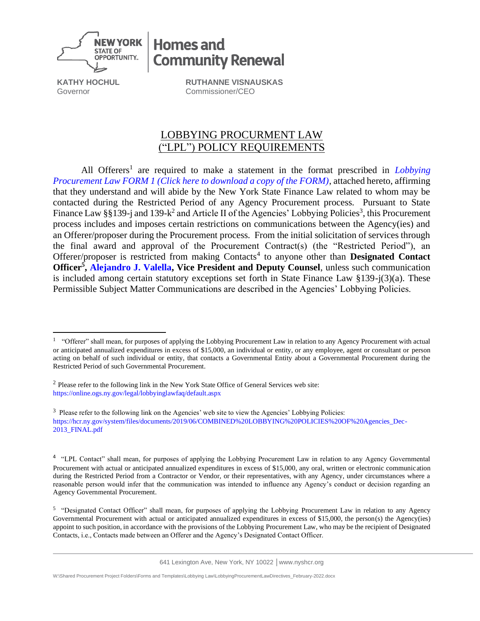

**KATHY HOCHUL** Governor

**RUTHANNE VISNAUSKAS** Commissioner/CEO

**Community Renewal** 

**Homes and** 

## LOBBYING PROCURMENT LAW ("LPL") POLICY REQUIREMENTS

All Offerers<sup>1</sup> are required to make a statement in the format prescribed in *Lobbying [Procurement Law FORM 1 \(Click here to download a copy of the FORM\)](https://hcr.ny.gov/system/files/documents/2019/02/lobbyinglawform1.pdf)*, attached hereto, affirming that they understand and will abide by the New York State Finance Law related to whom may be contacted during the Restricted Period of any Agency Procurement process. Pursuant to State Finance Law §§139-j and 139-k<sup>2</sup> and Article II of the Agencies' Lobbying Policies<sup>3</sup>, this Procurement process includes and imposes certain restrictions on communications between the Agency(ies) and an Offerer/proposer during the Procurement process. From the initial solicitation of services through the final award and approval of the Procurement Contract(s) (the "Restricted Period"), an Offerer/proposer is restricted from making Contacts<sup>4</sup> to anyone other than Designated Contact **Officer<sup>5</sup> , [Alejandro J. Valella,](mailto:Alex.Valella@nyshcr.org) Vice President and Deputy Counsel**, unless such communication is included among certain statutory exceptions set forth in State Finance Law §139-j(3)(a). These Permissible Subject Matter Communications are described in the Agencies' Lobbying Policies.

641 Lexington Ave, New York, NY 10022 │www.nyshcr.org

W:\Shared Procurement Project Folders\Forms and Templates\Lobbying Law\LobbyingProcurementLawDirectives\_February-2022.docx

<sup>&</sup>lt;sup>1</sup> "Offerer" shall mean, for purposes of applying the Lobbying Procurement Law in relation to any Agency Procurement with actual or anticipated annualized expenditures in excess of \$15,000, an individual or entity, or any employee, agent or consultant or person acting on behalf of such individual or entity, that contacts a Governmental Entity about a Governmental Procurement during the Restricted Period of such Governmental Procurement.

 $2$  Please refer to the following link in the New York State Office of General Services web site: <https://online.ogs.ny.gov/legal/lobbyinglawfaq/default.aspx>

 $3$  Please refer to the following link on the Agencies' web site to view the Agencies' Lobbying Policies: [https://hcr.ny.gov/system/files/documents/2019/06/COMBINED%20LOBBYING%20POLICIES%20OF%20Agencies\\_Dec-](https://hcr.ny.gov/system/files/documents/2019/06/COMBINED%20LOBBYING%20POLICIES%20OF%20Agencies_Dec-2013_FINAL.pdf)[2013\\_FINAL.pdf](https://hcr.ny.gov/system/files/documents/2019/06/COMBINED%20LOBBYING%20POLICIES%20OF%20Agencies_Dec-2013_FINAL.pdf)

<sup>&</sup>lt;sup>4</sup> "LPL Contact" shall mean, for purposes of applying the Lobbying Procurement Law in relation to any Agency Governmental Procurement with actual or anticipated annualized expenditures in excess of \$15,000, any oral, written or electronic communication during the Restricted Period from a Contractor or Vendor, or their representatives, with any Agency, under circumstances where a reasonable person would infer that the communication was intended to influence any Agency's conduct or decision regarding an Agency Governmental Procurement.

<sup>&</sup>lt;sup>5</sup> "Designated Contact Officer" shall mean, for purposes of applying the Lobbying Procurement Law in relation to any Agency Governmental Procurement with actual or anticipated annualized expenditures in excess of \$15,000, the person(s) the Agency(ies) appoint to such position, in accordance with the provisions of the Lobbying Procurement Law, who may be the recipient of Designated Contacts, i.e., Contacts made between an Offerer and the Agency's Designated Contact Officer.